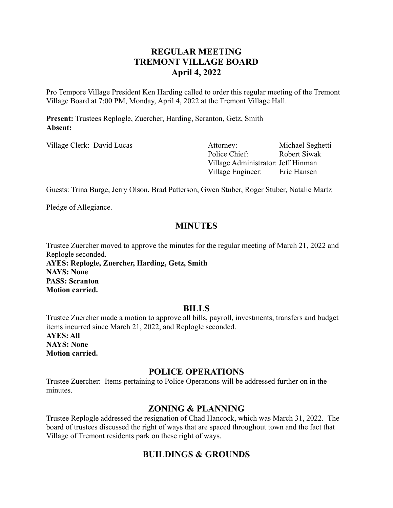# **REGULAR MEETING TREMONT VILLAGE BOARD April 4, 2022**

Pro Tempore Village President Ken Harding called to order this regular meeting of the Tremont Village Board at 7:00 PM, Monday, April 4, 2022 at the Tremont Village Hall.

**Present:** Trustees Replogle, Zuercher, Harding, Scranton, Getz, Smith **Absent:**

Village Clerk: David Lucas Attorney: Michael Seghetti Police Chief: Robert Siwak Village Administrator: Jeff Hinman Village Engineer: Eric Hansen

Guests: Trina Burge, Jerry Olson, Brad Patterson, Gwen Stuber, Roger Stuber, Natalie Martz

Pledge of Allegiance.

# **MINUTES**

Trustee Zuercher moved to approve the minutes for the regular meeting of March 21, 2022 and Replogle seconded.

**AYES: Replogle, Zuercher, Harding, Getz, Smith NAYS: None PASS: Scranton Motion carried.**

## **BILLS**

Trustee Zuercher made a motion to approve all bills, payroll, investments, transfers and budget items incurred since March 21, 2022, and Replogle seconded. **AYES: All NAYS: None**

**Motion carried.**

# **POLICE OPERATIONS**

Trustee Zuercher: Items pertaining to Police Operations will be addressed further on in the minutes.

## **ZONING & PLANNING**

Trustee Replogle addressed the resignation of Chad Hancock, which was March 31, 2022. The board of trustees discussed the right of ways that are spaced throughout town and the fact that Village of Tremont residents park on these right of ways.

# **BUILDINGS & GROUNDS**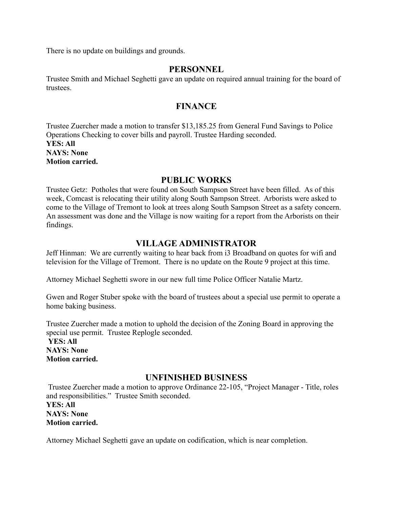There is no update on buildings and grounds.

#### **PERSONNEL**

Trustee Smith and Michael Seghetti gave an update on required annual training for the board of trustees.

## **FINANCE**

Trustee Zuercher made a motion to transfer \$13,185.25 from General Fund Savings to Police Operations Checking to cover bills and payroll. Trustee Harding seconded. **YES: All NAYS: None Motion carried.**

## **PUBLIC WORKS**

Trustee Getz: Potholes that were found on South Sampson Street have been filled. As of this week, Comcast is relocating their utility along South Sampson Street. Arborists were asked to come to the Village of Tremont to look at trees along South Sampson Street as a safety concern. An assessment was done and the Village is now waiting for a report from the Arborists on their findings.

## **VILLAGE ADMINISTRATOR**

Jeff Hinman: We are currently waiting to hear back from i3 Broadband on quotes for wifi and television for the Village of Tremont. There is no update on the Route 9 project at this time.

Attorney Michael Seghetti swore in our new full time Police Officer Natalie Martz.

Gwen and Roger Stuber spoke with the board of trustees about a special use permit to operate a home baking business.

Trustee Zuercher made a motion to uphold the decision of the Zoning Board in approving the special use permit. Trustee Replogle seconded.

**YES: All NAYS: None Motion carried.**

## **UNFINISHED BUSINESS**

Trustee Zuercher made a motion to approve Ordinance 22-105, "Project Manager - Title, roles and responsibilities." Trustee Smith seconded. **YES: All NAYS: None Motion carried.**

Attorney Michael Seghetti gave an update on codification, which is near completion.